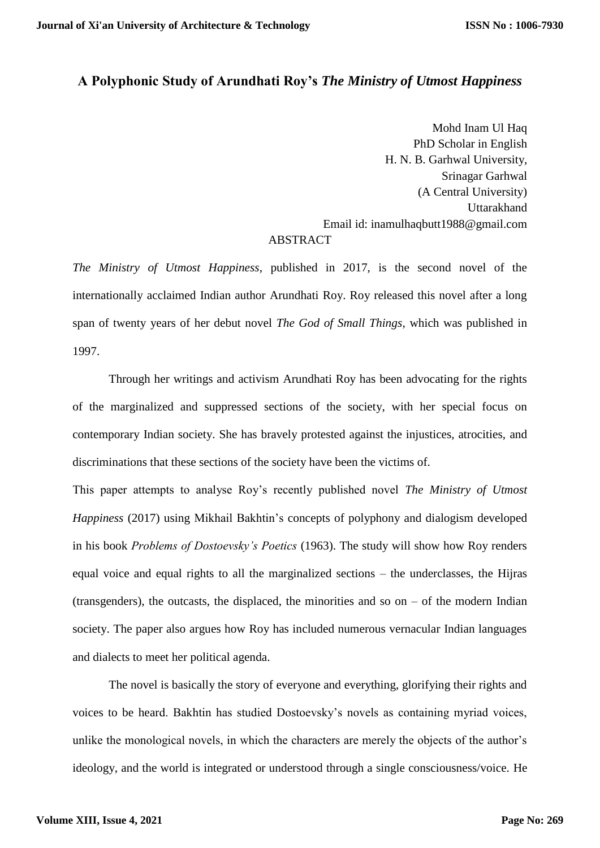# **A Polyphonic Study of Arundhati Roy's** *The Ministry of Utmost Happiness*

Mohd Inam Ul Haq PhD Scholar in English H. N. B. Garhwal University, Srinagar Garhwal (A Central University) Uttarakhand Email id: inamulhaqbutt1988@gmail.com **ABSTRACT** 

*The Ministry of Utmost Happiness*, published in 2017, is the second novel of the internationally acclaimed Indian author Arundhati Roy. Roy released this novel after a long span of twenty years of her debut novel *The God of Small Things*, which was published in 1997.

Through her writings and activism Arundhati Roy has been advocating for the rights of the marginalized and suppressed sections of the society, with her special focus on contemporary Indian society. She has bravely protested against the injustices, atrocities, and discriminations that these sections of the society have been the victims of.

This paper attempts to analyse Roy's recently published novel *The Ministry of Utmost Happiness* (2017) using Mikhail Bakhtin's concepts of polyphony and dialogism developed in his book *Problems of Dostoevsky's Poetics* (1963). The study will show how Roy renders equal voice and equal rights to all the marginalized sections – the underclasses, the Hijras (transgenders), the outcasts, the displaced, the minorities and so on  $-$  of the modern Indian society. The paper also argues how Roy has included numerous vernacular Indian languages and dialects to meet her political agenda.

The novel is basically the story of everyone and everything, glorifying their rights and voices to be heard. Bakhtin has studied Dostoevsky's novels as containing myriad voices, unlike the monological novels, in which the characters are merely the objects of the author's ideology, and the world is integrated or understood through a single consciousness/voice. He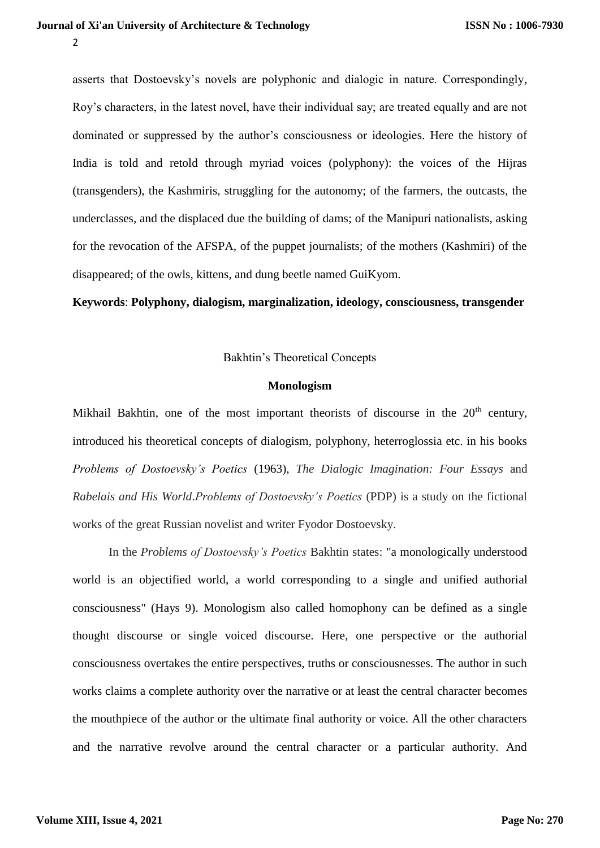$\overline{\phantom{a}}$ 

asserts that Dostoevsky's novels are polyphonic and dialogic in nature. Correspondingly, Roy's characters, in the latest novel, have their individual say; are treated equally and are not dominated or suppressed by the author's consciousness or ideologies. Here the history of India is told and retold through myriad voices (polyphony): the voices of the Hijras (transgenders), the Kashmiris, struggling for the autonomy; of the farmers, the outcasts, the underclasses, and the displaced due the building of dams; of the Manipuri nationalists, asking for the revocation of the AFSPA, of the puppet journalists; of the mothers (Kashmiri) of the disappeared; of the owls, kittens, and dung beetle named GuiKyom.

**Keywords**: **Polyphony, dialogism, marginalization, ideology, consciousness, transgender**

## Bakhtin's Theoretical Concepts

#### **Monologism**

Mikhail Bakhtin, one of the most important theorists of discourse in the  $20<sup>th</sup>$  century, introduced his theoretical concepts of dialogism, polyphony, heterroglossia etc. in his books *Problems of Dostoevsky's Poetics* (1963), *The Dialogic Imagination: Four Essays* and *Rabelais and His World*.*Problems of Dostoevsky's Poetics* (PDP) is a study on the fictional works of the great Russian novelist and writer Fyodor Dostoevsky.

In the *Problems of Dostoevsky's Poetics* Bakhtin states: "a monologically understood world is an objectified world, a world corresponding to a single and unified authorial consciousness" (Hays 9). Monologism also called homophony can be defined as a single thought discourse or single voiced discourse. Here, one perspective or the authorial consciousness overtakes the entire perspectives, truths or consciousnesses. The author in such works claims a complete authority over the narrative or at least the central character becomes the mouthpiece of the author or the ultimate final authority or voice. All the other characters and the narrative revolve around the central character or a particular authority. And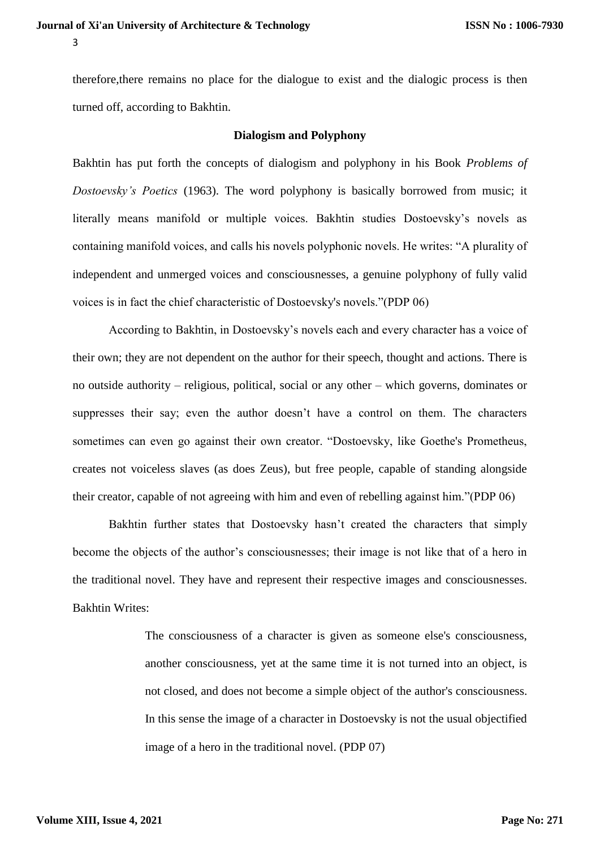therefore,there remains no place for the dialogue to exist and the dialogic process is then turned off, according to Bakhtin.

#### **Dialogism and Polyphony**

Bakhtin has put forth the concepts of dialogism and polyphony in his Book *Problems of Dostoevsky's Poetics* (1963). The word polyphony is basically borrowed from music; it literally means manifold or multiple voices. Bakhtin studies Dostoevsky's novels as containing manifold voices, and calls his novels polyphonic novels. He writes: "A plurality of independent and unmerged voices and consciousnesses, a genuine polyphony of fully valid voices is in fact the chief characteristic of Dostoevsky's novels."(PDP 06)

According to Bakhtin, in Dostoevsky's novels each and every character has a voice of their own; they are not dependent on the author for their speech, thought and actions. There is no outside authority – religious, political, social or any other – which governs, dominates or suppresses their say; even the author doesn't have a control on them. The characters sometimes can even go against their own creator. "Dostoevsky, like Goethe's Prometheus, creates not voiceless slaves (as does Zeus), but free people, capable of standing alongside their creator, capable of not agreeing with him and even of rebelling against him."(PDP 06)

Bakhtin further states that Dostoevsky hasn't created the characters that simply become the objects of the author's consciousnesses; their image is not like that of a hero in the traditional novel. They have and represent their respective images and consciousnesses. Bakhtin Writes:

> The consciousness of a character is given as someone else's consciousness, another consciousness, yet at the same time it is not turned into an object, is not closed, and does not become a simple object of the author's consciousness. In this sense the image of a character in Dostoevsky is not the usual objectified image of a hero in the traditional novel. (PDP 07)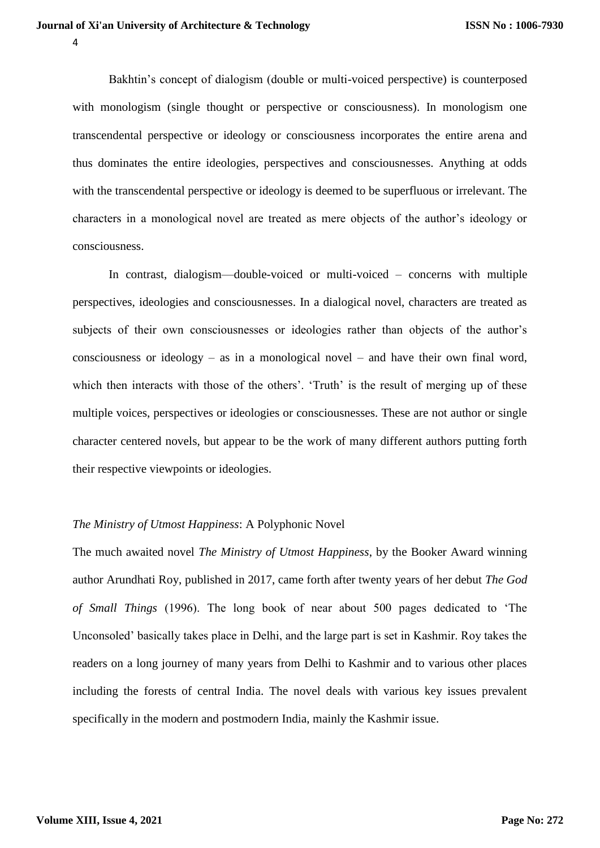Bakhtin's concept of dialogism (double or multi-voiced perspective) is counterposed with monologism (single thought or perspective or consciousness). In monologism one transcendental perspective or ideology or consciousness incorporates the entire arena and thus dominates the entire ideologies, perspectives and consciousnesses. Anything at odds with the transcendental perspective or ideology is deemed to be superfluous or irrelevant. The characters in a monological novel are treated as mere objects of the author's ideology or consciousness.

In contrast, dialogism—double-voiced or multi-voiced – concerns with multiple perspectives, ideologies and consciousnesses. In a dialogical novel, characters are treated as subjects of their own consciousnesses or ideologies rather than objects of the author's consciousness or ideology – as in a monological novel – and have their own final word, which then interacts with those of the others'. 'Truth' is the result of merging up of these multiple voices, perspectives or ideologies or consciousnesses. These are not author or single character centered novels, but appear to be the work of many different authors putting forth their respective viewpoints or ideologies.

#### *The Ministry of Utmost Happiness*: A Polyphonic Novel

The much awaited novel *The Ministry of Utmost Happiness*, by the Booker Award winning author Arundhati Roy, published in 2017, came forth after twenty years of her debut *The God of Small Things* (1996). The long book of near about 500 pages dedicated to 'The Unconsoled' basically takes place in Delhi, and the large part is set in Kashmir. Roy takes the readers on a long journey of many years from Delhi to Kashmir and to various other places including the forests of central India. The novel deals with various key issues prevalent specifically in the modern and postmodern India, mainly the Kashmir issue.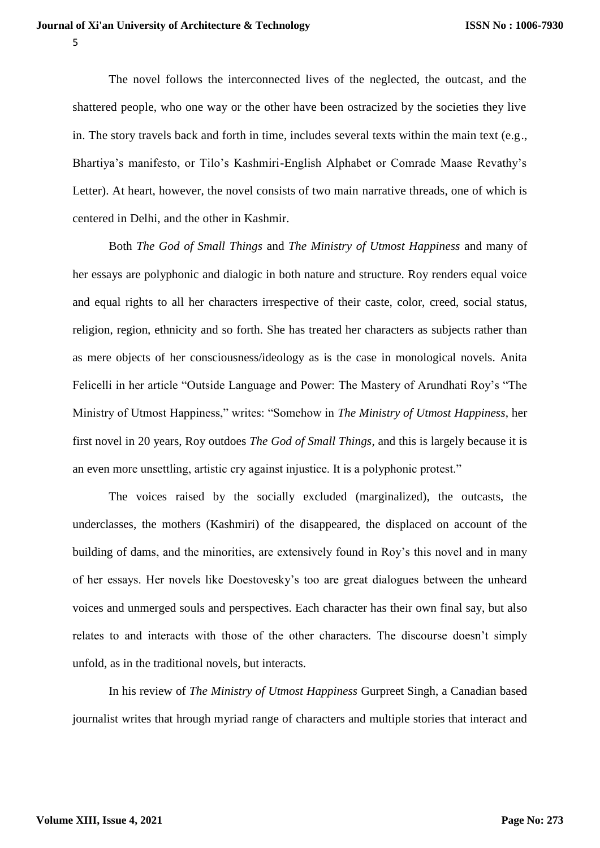The novel follows the interconnected lives of the neglected, the outcast, and the shattered people, who one way or the other have been ostracized by the societies they live in. The story travels back and forth in time, includes several texts within the main text  $(e.g.,)$ Bhartiya's manifesto, or Tilo's Kashmiri-English Alphabet or Comrade Maase Revathy's Letter). At heart, however, the novel consists of two main [narrative](https://www.supersummary.com/narrative/) threads, one of which is centered in Delhi, and the other in Kashmir.

Both *The God of Small Things* and *The Ministry of Utmost Happiness* and many of her essays are polyphonic and dialogic in both nature and structure. Roy renders equal voice and equal rights to all her characters irrespective of their caste, color, creed, social status, religion, region, ethnicity and so forth. She has treated her characters as subjects rather than as mere objects of her consciousness/ideology as is the case in monological novels. Anita Felicelli in her article "Outside Language and Power: The Mastery of Arundhati Roy's "The Ministry of Utmost Happiness," writes: "Somehow in *The Ministry of Utmost Happiness*, her first novel in 20 years, Roy outdoes *The God of Small Things*, and this is largely because it is an even more unsettling, artistic cry against injustice. It is a polyphonic protest."

The voices raised by the socially excluded (marginalized), the outcasts, the underclasses, the mothers (Kashmiri) of the disappeared, the displaced on account of the building of dams, and the minorities, are extensively found in Roy's this novel and in many of her essays. Her novels like Doestovesky's too are great dialogues between the unheard voices and unmerged souls and perspectives. Each character has their own final say, but also relates to and interacts with those of the other characters. The discourse doesn't simply unfold, as in the traditional novels, but interacts.

In his review of *The Ministry of Utmost Happiness* Gurpreet Singh, a Canadian based journalist writes that hrough myriad range of characters and multiple stories that interact and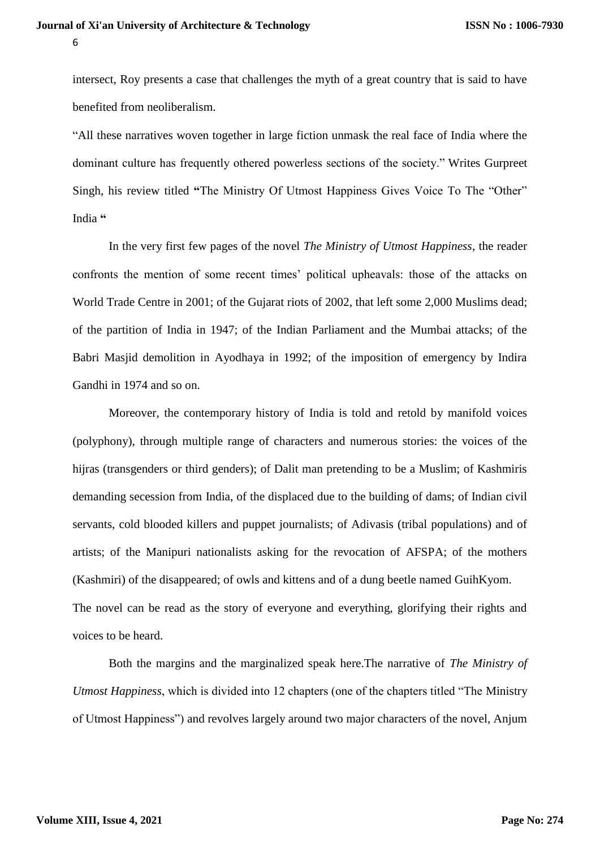intersect, Roy presents a case that challenges the myth of a great country that is said to have benefited from neoliberalism.

"All these narratives woven together in large fiction unmask the real face of India where the dominant culture has frequently othered powerless sections of the society." Writes Gurpreet Singh, his review titled **"**[The Ministry Of Utmost Happiness Gives Voice To The "Other"](https://countercurrents.org/2017/06/the-ministry-of-utmost-happiness-gives-voice-to-the-other-india)  [India](https://countercurrents.org/2017/06/the-ministry-of-utmost-happiness-gives-voice-to-the-other-india) **"**

In the very first few pages of the novel *The Ministry of Utmost Happiness*, the reader confronts the mention of some recent times' political upheavals: those of the attacks on World Trade Centre in 2001; of the Gujarat riots of 2002, that left some 2,000 Muslims dead; of the partition of India in 1947; of the Indian Parliament and the Mumbai attacks; of the Babri Masjid demolition in Ayodhaya in 1992; of the imposition of emergency by Indira Gandhi in 1974 and so on.

Moreover, the contemporary history of India is told and retold by manifold voices (polyphony), through multiple range of characters and numerous stories: the voices of the hijras (transgenders or third genders); of Dalit man pretending to be a Muslim; of Kashmiris demanding secession from India, of the displaced due to the building of dams; of Indian civil servants, cold blooded killers and puppet journalists; of Adivasis (tribal populations) and of artists; of the Manipuri nationalists asking for the revocation of AFSPA; of the mothers (Kashmiri) of the disappeared; of owls and kittens and of a dung beetle named GuihKyom. The novel can be read as the story of everyone and everything, glorifying their rights and voices to be heard.

Both the margins and the marginalized speak here.The narrative of *The Ministry of Utmost Happiness*, which is divided into 12 chapters (one of the chapters titled "The Ministry of Utmost Happiness") and revolves largely around two major characters of the novel, Anjum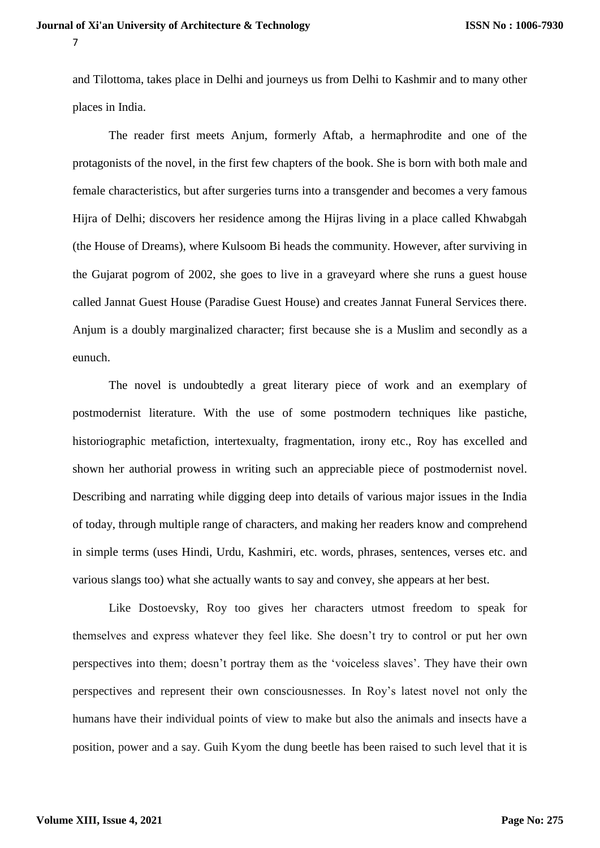and Tilottoma, takes place in Delhi and journeys us from Delhi to Kashmir and to many other places in India.

The reader first meets Anjum, formerly Aftab, a hermaphrodite and one of the protagonists of the novel, in the first few chapters of the book. She is born with both male and female characteristics, but after surgeries turns into a transgender and becomes a very famous Hijra of Delhi; discovers her residence among the Hijras living in a place called Khwabgah (the House of Dreams), where Kulsoom Bi heads the community. However, after surviving in the Gujarat pogrom of 2002, she goes to live in a graveyard where she runs a guest house called Jannat Guest House (Paradise Guest House) and creates Jannat Funeral Services there. Anjum is a doubly marginalized character; first because she is a Muslim and secondly as a eunuch.

The novel is undoubtedly a great literary piece of work and an exemplary of postmodernist literature. With the use of some postmodern techniques like pastiche, historiographic metafiction, intertexualty, fragmentation, irony etc., Roy has excelled and shown her authorial prowess in writing such an appreciable piece of postmodernist novel. Describing and narrating while digging deep into details of various major issues in the India of today, through multiple range of characters, and making her readers know and comprehend in simple terms (uses Hindi, Urdu, Kashmiri, etc. words, phrases, sentences, verses etc. and various slangs too) what she actually wants to say and convey, she appears at her best.

Like Dostoevsky, Roy too gives her characters utmost freedom to speak for themselves and express whatever they feel like. She doesn't try to control or put her own perspectives into them; doesn't portray them as the 'voiceless slaves'. They have their own perspectives and represent their own consciousnesses. In Roy's latest novel not only the humans have their individual points of view to make but also the animals and insects have a position, power and a say. Guih Kyom the dung beetle has been raised to such level that it is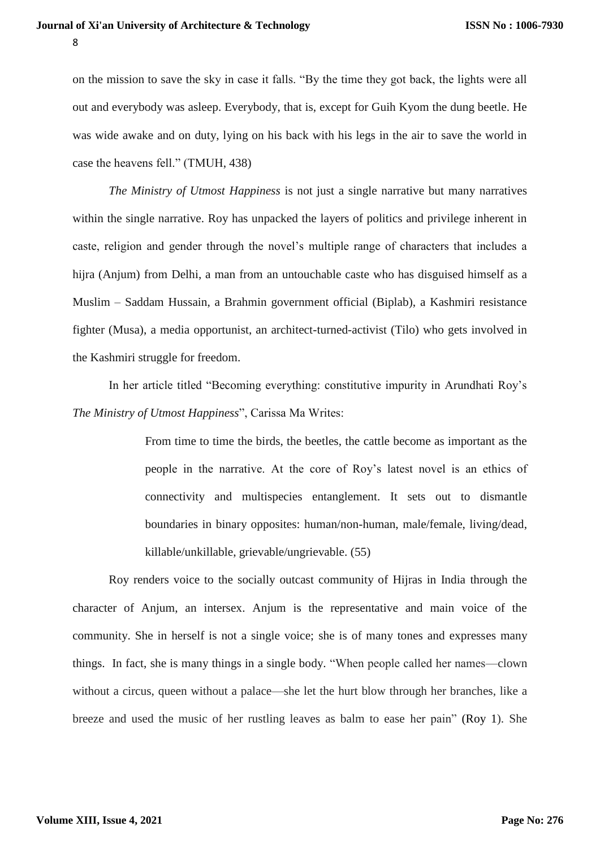on the mission to save the sky in case it falls. "By the time they got back, the lights were all out and everybody was asleep. Everybody, that is, except for Guih Kyom the dung beetle. He was wide awake and on duty, lying on his back with his legs in the air to save the world in case the heavens fell." (TMUH, 438)

*The Ministry of Utmost Happiness* is not just a single narrative but many narratives within the single narrative. Roy has unpacked the layers of politics and privilege inherent in caste, religion and gender through the novel's multiple range of characters that includes a hijra (Anjum) from Delhi, a man from an untouchable caste who has disguised himself as a Muslim – Saddam Hussain, a Brahmin government official (Biplab), a Kashmiri resistance fighter (Musa), a media opportunist, an architect-turned-activist (Tilo) who gets involved in the Kashmiri struggle for freedom.

In her article titled "Becoming everything: constitutive impurity in Arundhati Roy's *The Ministry of Utmost Happiness*", Carissa Ma Writes:

> From time to time the birds, the beetles, the cattle become as important as the people in the narrative. At the core of Roy's latest novel is an ethics of connectivity and multispecies entanglement. It sets out to dismantle boundaries in binary opposites: human/non-human, male/female, living/dead, killable/unkillable, grievable/ungrievable. (55)

Roy renders voice to the socially outcast community of Hijras in India through the character of Anjum, an intersex. Anjum is the representative and main voice of the community. She in herself is not a single voice; she is of many tones and expresses many things. In fact, she is many things in a single body. "When people called her names—clown without a circus, queen without a palace—she let the hurt blow through her branches, like a breeze and used the music of her rustling leaves as balm to ease her pain" [\(Roy 1\)](https://www.mdpi.com/2076-0787/9/1/2/htm#B8-humanities-09-00002). She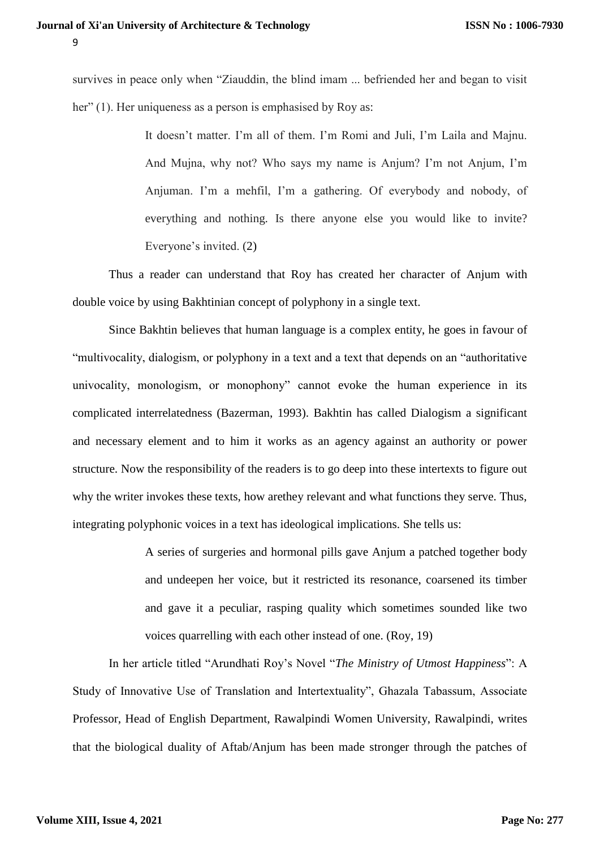survives in peace only when "Ziauddin, the blind imam ... befriended her and began to visit her" (1). Her uniqueness as a person is emphasised by Roy as:

> It doesn't matter. I'm all of them. I'm Romi and Juli, I'm Laila and Majnu. And Mujna, why not? Who says my name is Anjum? I'm not Anjum, I'm Anjuman. I'm a mehfil, I'm a gathering. Of everybody and nobody, of everything and nothing. Is there anyone else you would like to invite? Everyone's invited. [\(2\)](https://www.mdpi.com/2076-0787/9/1/2/htm#B8-humanities-09-00002)

Thus a reader can understand that Roy has created her character of Anjum with double voice by using Bakhtinian concept of polyphony in a single text.

Since Bakhtin believes that human language is a complex entity, he goes in favour of "multivocality, dialogism, or polyphony in a text and a text that depends on an "authoritative univocality, monologism, or monophony" cannot evoke the human experience in its complicated interrelatedness (Bazerman, 1993). Bakhtin has called Dialogism a significant and necessary element and to him it works as an agency against an authority or power structure. Now the responsibility of the readers is to go deep into these intertexts to figure out why the writer invokes these texts, how arethey relevant and what functions they serve. Thus, integrating polyphonic voices in a text has ideological implications. She tells us:

> A series of surgeries and hormonal pills gave Anjum a patched together body and undeepen her voice, but it restricted its resonance, coarsened its timber and gave it a peculiar, rasping quality which sometimes sounded like two voices quarrelling with each other instead of one. (Roy, 19)

In her article titled "Arundhati Roy's Novel "*The Ministry of Utmost Happiness*": A Study of Innovative Use of Translation and Intertextuality", Ghazala Tabassum, Associate Professor, Head of English Department, Rawalpindi Women University, Rawalpindi, writes that the biological duality of Aftab/Anjum has been made stronger through the patches of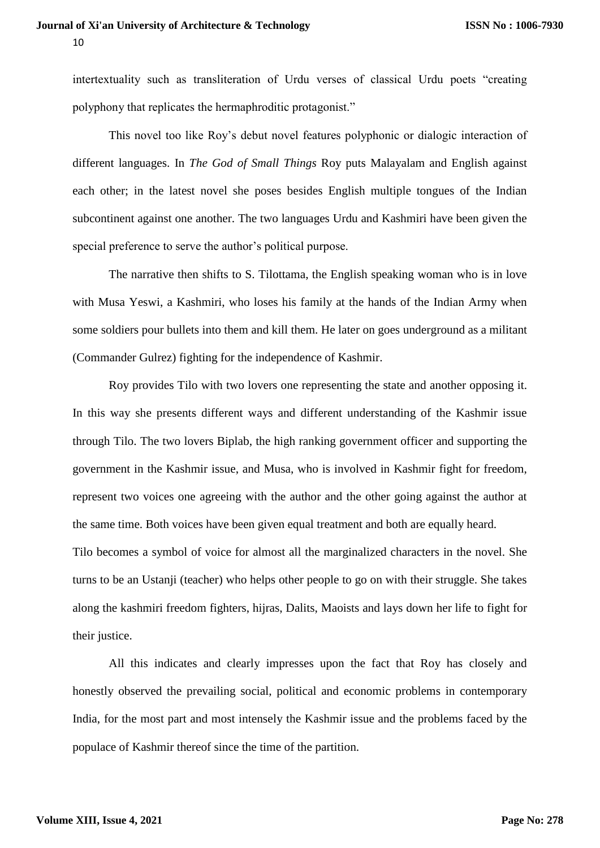intertextuality such as transliteration of Urdu verses of classical Urdu poets "creating polyphony that replicates the hermaphroditic protagonist."

This novel too like Roy's debut novel features polyphonic or dialogic interaction of different languages. In *The God of Small Things* Roy puts Malayalam and English against each other; in the latest novel she poses besides English multiple tongues of the Indian subcontinent against one another. The two languages Urdu and Kashmiri have been given the special preference to serve the author's political purpose.

The narrative then shifts to S. Tilottama, the English speaking woman who is in love with Musa Yeswi, a Kashmiri, who loses his family at the hands of the Indian Army when some soldiers pour bullets into them and kill them. He later on goes underground as a militant (Commander Gulrez) fighting for the independence of Kashmir.

Roy provides Tilo with two lovers one representing the state and another opposing it. In this way she presents different ways and different understanding of the Kashmir issue through Tilo. The two lovers Biplab, the high ranking government officer and supporting the government in the Kashmir issue, and Musa, who is involved in Kashmir fight for freedom, represent two voices one agreeing with the author and the other going against the author at the same time. Both voices have been given equal treatment and both are equally heard.

Tilo becomes a symbol of voice for almost all the marginalized characters in the novel. She turns to be an Ustanji (teacher) who helps other people to go on with their struggle. She takes along the kashmiri freedom fighters, hijras, Dalits, Maoists and lays down her life to fight for their justice.

All this indicates and clearly impresses upon the fact that Roy has closely and honestly observed the prevailing social, political and economic problems in contemporary India, for the most part and most intensely the Kashmir issue and the problems faced by the populace of Kashmir thereof since the time of the partition.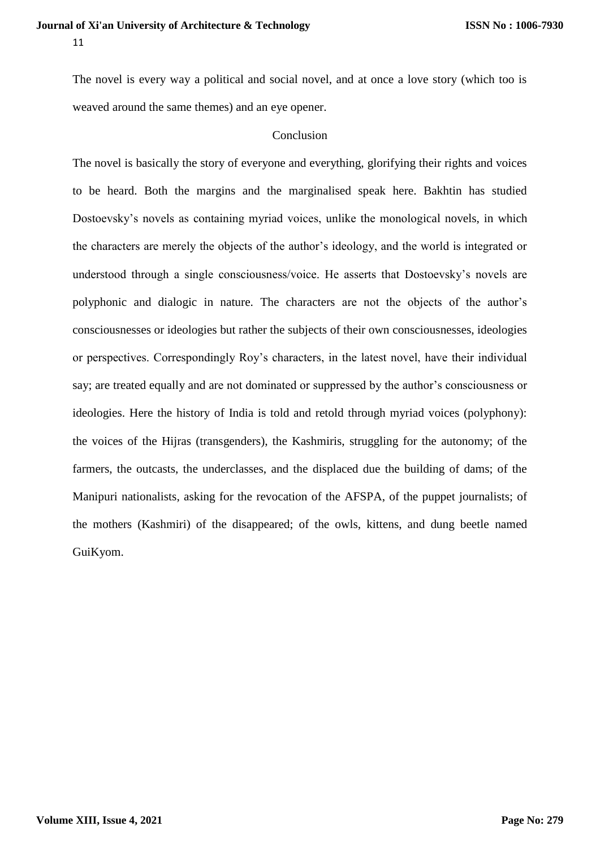The novel is every way a political and social novel, and at once a love story (which too is weaved around the same themes) and an eye opener.

### **Conclusion**

The novel is basically the story of everyone and everything, glorifying their rights and voices to be heard. Both the margins and the marginalised speak here. Bakhtin has studied Dostoevsky's novels as containing myriad voices, unlike the monological novels, in which the characters are merely the objects of the author's ideology, and the world is integrated or understood through a single consciousness/voice. He asserts that Dostoevsky's novels are polyphonic and dialogic in nature. The characters are not the objects of the author's consciousnesses or ideologies but rather the subjects of their own consciousnesses, ideologies or perspectives. Correspondingly Roy's characters, in the latest novel, have their individual say; are treated equally and are not dominated or suppressed by the author's consciousness or ideologies. Here the history of India is told and retold through myriad voices (polyphony): the voices of the Hijras (transgenders), the Kashmiris, struggling for the autonomy; of the farmers, the outcasts, the underclasses, and the displaced due the building of dams; of the Manipuri nationalists, asking for the revocation of the AFSPA, of the puppet journalists; of the mothers (Kashmiri) of the disappeared; of the owls, kittens, and dung beetle named GuiKyom.